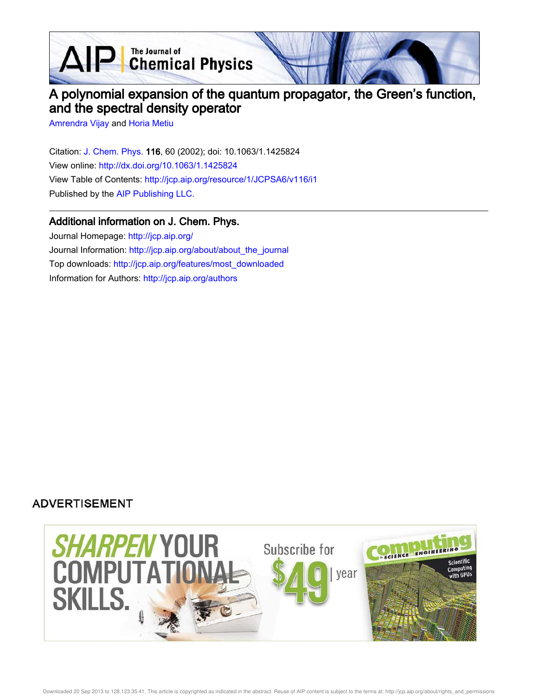$\mathbf{AP}$  The Journal of Chemical Physics

# A polynomial expansion of the quantum propagator, the Green's function, and the spectral density operator

Amrendra Vijay and Horia Metiu

Citation: J. Chem. Phys. 116, 60 (2002); doi: 10.1063/1.1425824 View online: http://dx.doi.org/10.1063/1.1425824 View Table of Contents: http://jcp.aip.org/resource/1/JCPSA6/v116/i1 Published by the AIP Publishing LLC.

# Additional information on J. Chem. Phys.

Journal Homepage: http://jcp.aip.org/ Journal Information: http://jcp.aip.org/about/about\_the\_journal Top downloads: http://jcp.aip.org/features/most\_downloaded Information for Authors: http://jcp.aip.org/authors

# **ADVERTISEMENT**

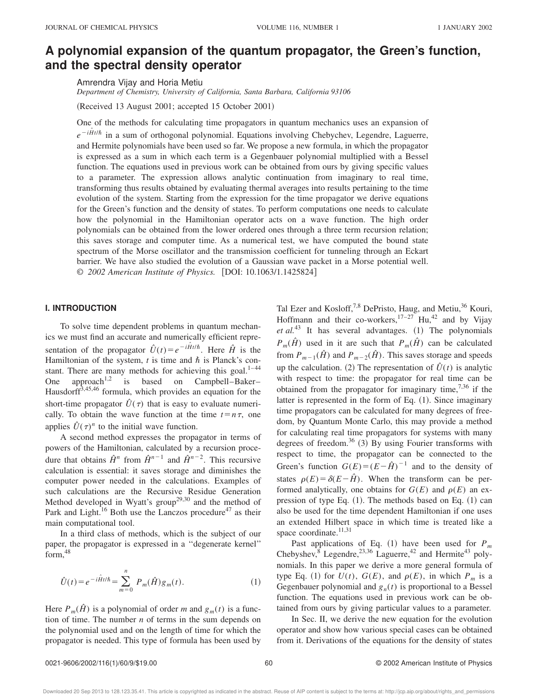# **A polynomial expansion of the quantum propagator, the Green's function, and the spectral density operator**

Amrendra Vijay and Horia Metiu

*Department of Chemistry, University of California, Santa Barbara, California 93106*

(Received 13 August 2001; accepted 15 October 2001)

One of the methods for calculating time propagators in quantum mechanics uses an expansion of  $e^{-i\hat{H}t/\hbar}$  in a sum of orthogonal polynomial. Equations involving Chebychev, Legendre, Laguerre, and Hermite polynomials have been used so far. We propose a new formula, in which the propagator is expressed as a sum in which each term is a Gegenbauer polynomial multiplied with a Bessel function. The equations used in previous work can be obtained from ours by giving specific values to a parameter. The expression allows analytic continuation from imaginary to real time, transforming thus results obtained by evaluating thermal averages into results pertaining to the time evolution of the system. Starting from the expression for the time propagator we derive equations for the Green's function and the density of states. To perform computations one needs to calculate how the polynomial in the Hamiltonian operator acts on a wave function. The high order polynomials can be obtained from the lower ordered ones through a three term recursion relation; this saves storage and computer time. As a numerical test, we have computed the bound state spectrum of the Morse oscillator and the transmission coefficient for tunneling through an Eckart barrier. We have also studied the evolution of a Gaussian wave packet in a Morse potential well. © 2002 American Institute of Physics. [DOI: 10.1063/1.1425824]

### **I. INTRODUCTION**

To solve time dependent problems in quantum mechanics we must find an accurate and numerically efficient representation of the propagator  $\hat{U}(t) = e^{-i\hat{H}t/\hbar}$ . Here  $\hat{H}$  is the Hamiltonian of the system,  $t$  is time and  $\hbar$  is Planck's constant. There are many methods for achieving this goal. $1-44$ One approach<sup>1,2</sup> is based on Campbell–Baker– Hausdorff<sup>3,45,46</sup> formula, which provides an equation for the short-time propagator  $\hat{U}(\tau)$  that is easy to evaluate numerically. To obtain the wave function at the time  $t = n\tau$ , one applies  $\hat{U}(\tau)^n$  to the initial wave function.

A second method expresses the propagator in terms of powers of the Hamiltonian, calculated by a recursion procedure that obtains  $\hat{H}^n$  from  $\hat{H}^{n-1}$  and  $\hat{H}^{n-2}$ . This recursive calculation is essential: it saves storage and diminishes the computer power needed in the calculations. Examples of such calculations are the Recursive Residue Generation Method developed in Wyatt's group<sup>29,30</sup> and the method of Park and Light.<sup>16</sup> Both use the Lanczos procedure<sup>47</sup> as their main computational tool.

In a third class of methods, which is the subject of our paper, the propagator is expressed in a ''degenerate kernel''  $form.<sup>48</sup>$ 

$$
\hat{U}(t) = e^{-i\hat{H}t/\hbar} = \sum_{m=0}^{n} P_m(\hat{H})g_m(t).
$$
 (1)

Here  $P_m(\hat{H})$  is a polynomial of order *m* and  $g_m(t)$  is a function of time. The number *n* of terms in the sum depends on the polynomial used and on the length of time for which the propagator is needed. This type of formula has been used by Tal Ezer and Kosloff,<sup>7,8</sup> DePristo, Haug, and Metiu,<sup>36</sup> Kouri, Hoffmann and their co-workers,  $17-27$  Hu,  $42$  and by Vijay  $et al.<sup>43</sup>$  It has several advantages.  $(1)$  The polynomials *P<sub>m</sub>*( $\hat{H}$ ) used in it are such that  $P_m(\hat{H})$  can be calculated from  $P_{m-1}(\hat{H})$  and  $P_{m-2}(\hat{H})$ . This saves storage and speeds up the calculation. (2) The representation of  $\hat{U}(t)$  is analytic with respect to time: the propagator for real time can be obtained from the propagator for imaginary time,  $^{7,36}$  if the latter is represented in the form of Eq.  $(1)$ . Since imaginary time propagators can be calculated for many degrees of freedom, by Quantum Monte Carlo, this may provide a method for calculating real time propagators for systems with many degrees of freedom.<sup>36</sup>  $(3)$  By using Fourier transforms with respect to time, the propagator can be connected to the Green's function  $G(E) = (E - \hat{H})^{-1}$  and to the density of states  $\rho(E) = \delta(E - \hat{H})$ . When the transform can be performed analytically, one obtains for  $G(E)$  and  $\rho(E)$  an expression of type Eq.  $(1)$ . The methods based on Eq.  $(1)$  can also be used for the time dependent Hamiltonian if one uses an extended Hilbert space in which time is treated like a space coordinate.<sup>11,31</sup>

Past applications of Eq.  $(1)$  have been used for  $P_m$ Chebyshev, $\overline{8}$  Legendre,<sup>23,36</sup> Laguerre,<sup>42</sup> and Hermite<sup>43</sup> polynomials. In this paper we derive a more general formula of type Eq. (1) for  $U(t)$ ,  $G(E)$ , and  $\rho(E)$ , in which  $P_m$  is a Gegenbauer polynomial and  $g_n(t)$  is proportional to a Bessel function. The equations used in previous work can be obtained from ours by giving particular values to a parameter.

In Sec. II, we derive the new equation for the evolution operator and show how various special cases can be obtained from it. Derivations of the equations for the density of states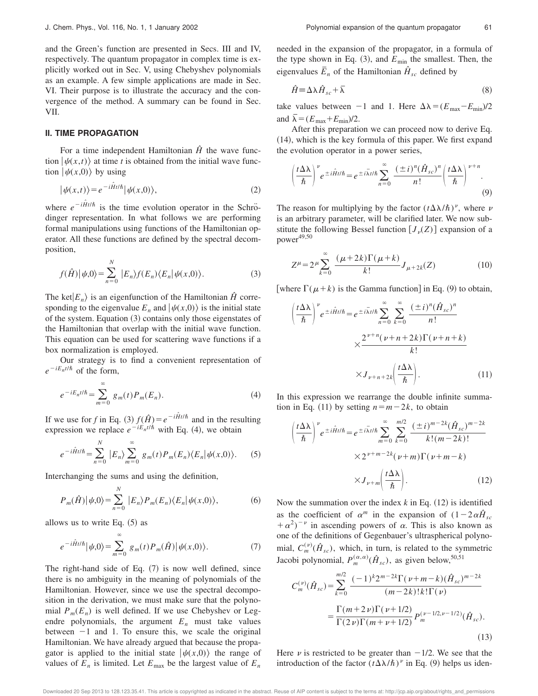and the Green's function are presented in Secs. III and IV, respectively. The quantum propagator in complex time is explicitly worked out in Sec. V, using Chebyshev polynomials as an example. A few simple applications are made in Sec. VI. Their purpose is to illustrate the accuracy and the convergence of the method. A summary can be found in Sec. VII.

#### **II. TIME PROPAGATION**

For a time independent Hamiltonian  $\hat{H}$  the wave function  $|\psi(x,t)\rangle$  at time *t* is obtained from the initial wave function  $|\psi(x,0)\rangle$  by using

$$
|\psi(x,t)\rangle = e^{-i\hat{H}t/\hbar}|\psi(x,0)\rangle,
$$
\n(2)

where  $e^{-i\hat{H}t/\hbar}$  is the time evolution operator in the Schrödinger representation. In what follows we are performing formal manipulations using functions of the Hamiltonian operator. All these functions are defined by the spectral decomposition,

$$
f(\hat{H})|\psi,0\rangle = \sum_{n=0}^{N} |E_n\rangle f(E_n)\langle E_n|\psi(x,0)\rangle.
$$
 (3)

The ket $|E_n\rangle$  is an eigenfunction of the Hamiltonian  $\hat{H}$  corresponding to the eigenvalue  $E_n$  and  $|\psi(x,0)\rangle$  is the initial state of the system. Equation  $(3)$  contains only those eigenstates of the Hamiltonian that overlap with the initial wave function. This equation can be used for scattering wave functions if a box normalization is employed.

Our strategy is to find a convenient representation of  $e^{-iE_n t/\hbar}$  of the form,

$$
e^{-iE_n t/\hbar} = \sum_{m=0}^{\infty} g_m(t) P_m(E_n).
$$
 (4)

If we use for *f* in Eq. (3)  $f(\hat{H}) = e^{-i\hat{H}t/\hbar}$  and in the resulting expression we replace  $e^{-iE_n t/\hbar}$  with Eq. (4), we obtain

$$
e^{-i\hat{H}t/\hbar} = \sum_{n=0}^{N} |E_n\rangle \sum_{m=0}^{\infty} g_m(t) P_m(E_n) \langle E_n | \psi(x,0) \rangle.
$$
 (5)

Interchanging the sums and using the definition,

$$
P_m(\hat{H})|\psi,0\rangle = \sum_{n=0}^{N} |E_n\rangle P_m(E_n)\langle E_n|\psi(x,0)\rangle, \tag{6}
$$

allows us to write Eq.  $(5)$  as

$$
e^{-i\hat{H}t/\hbar}|\psi,0\rangle = \sum_{m=0}^{\infty} g_m(t) P_m(\hat{H})|\psi(x,0)\rangle.
$$
 (7)

The right-hand side of Eq.  $(7)$  is now well defined, since there is no ambiguity in the meaning of polynomials of the Hamiltonian. However, since we use the spectral decomposition in the derivation, we must make sure that the polynomial  $P_m(E_n)$  is well defined. If we use Chebyshev or Legendre polynomials, the argument  $E_n$  must take values between  $-1$  and 1. To ensure this, we scale the original Hamiltonian. We have already argued that because the propagator is applied to the initial state  $|\psi(x,0)\rangle$  the range of values of  $E_n$  is limited. Let  $E_{\text{max}}$  be the largest value of  $E_n$ 

needed in the expansion of the propagator, in a formula of the type shown in Eq.  $(3)$ , and  $E_{\text{min}}$  the smallest. Then, the eigenvalues  $\overline{E}_n$  of the Hamiltonian  $\hat{H}_{sc}$  defined by

$$
\hat{H} = \Delta \lambda \hat{H}_{sc} + \overline{\lambda}
$$
\n(8)

take values between  $-1$  and 1. Here  $\Delta\lambda = (E_{\text{max}}-E_{\text{min}})/2$ and  $\bar{\lambda} = (E_{\text{max}} + E_{\text{min}})/2$ .

After this preparation we can proceed now to derive Eq.  $(14)$ , which is the key formula of this paper. We first expand the evolution operator in a power series,

$$
\left(\frac{t\Delta\lambda}{\hbar}\right)^{\nu}e^{\pm i\hat{H}t/\hbar} = e^{\pm i\bar{\lambda}t/\hbar}\sum_{n=0}^{\infty}\frac{(\pm i)^{n}(\hat{H}_{sc})^{n}}{n!}\left(\frac{t\Delta\lambda}{\hbar}\right)^{\nu+n}.
$$
\n(9)

The reason for multiplying by the factor  $(t\Delta\lambda/\hbar)^{\nu}$ , where  $\nu$ is an arbitrary parameter, will be clarified later. We now substitute the following Bessel function  $[J_{\nu}(Z)]$  expansion of a  $power^{49,50}$ 

$$
Z^{\mu} = 2^{\mu} \sum_{k=0}^{\infty} \frac{(\mu + 2k) \Gamma(\mu + k)}{k!} J_{\mu + 2k}(Z)
$$
 (10)

[where  $\Gamma(\mu+k)$  is the Gamma function] in Eq. (9) to obtain,

$$
\left(\frac{t\Delta\lambda}{\hbar}\right)^{\nu} e^{\pm i\hat{H}t/\hbar} = e^{\pm i\bar{\lambda}t/\hbar} \sum_{n=0}^{\infty} \sum_{k=0}^{\infty} \frac{(\pm i)^{n}(\hat{H}_{sc})^{n}}{n!}
$$

$$
\times \frac{2^{\nu+n}(\nu+n+2k)\Gamma(\nu+n+k)}{k!}
$$

$$
\times J_{\nu+n+2k} \left(\frac{t\Delta\lambda}{\hbar}\right). \tag{11}
$$

In this expression we rearrange the double infinite summation in Eq. (11) by setting  $n=m-2k$ , to obtain

$$
\left(\frac{t\Delta\lambda}{\hbar}\right)^{\nu} e^{\pm i\hat{H}t/\hbar} = e^{\pm i\bar{\lambda}t/\hbar} \sum_{m=0}^{\infty} \sum_{k=0}^{m/2} \frac{(\pm i)^{m-2k} (\hat{H}_{sc})^{m-2k}}{k!(m-2k)!}
$$

$$
\times 2^{\nu+m-2k} (\nu+m)\Gamma(\nu+m-k)
$$

$$
\times J_{\nu+m} \left(\frac{t\Delta\lambda}{\hbar}\right).
$$
 (12)

Now the summation over the index  $k$  in Eq.  $(12)$  is identified as the coefficient of  $\alpha^m$  in the expansion of  $(1-2\alpha\hat{H}_{sc})$  $+\alpha^2$ )<sup>-v</sup> in ascending powers of  $\alpha$ . This is also known as one of the definitions of Gegenbauer's ultraspherical polynomial,  $C_m^{(\nu)}(\hat{H}_{sc})$ , which, in turn, is related to the symmetric Jacobi polynomial,  $P_m^{(\alpha,\alpha)}(\hat{H}_{sc})$ , as given below,<sup>50,51</sup>

$$
C_m^{(\nu)}(\hat{H}_{sc}) = \sum_{k=0}^{m/2} \frac{(-1)^k 2^{m-2k} \Gamma(\nu+m-k) (\hat{H}_{sc})^{m-2k}}{(m-2k)! k! \Gamma(\nu)}
$$

$$
= \frac{\Gamma(m+2\nu) \Gamma(\nu+1/2)}{\Gamma(2\nu) \Gamma(m+\nu+1/2)} P_m^{(\nu-1/2,\nu-1/2)}(\hat{H}_{sc}).
$$
(13)

Here  $\nu$  is restricted to be greater than  $-1/2$ . We see that the introduction of the factor  $(t\Delta\lambda/\hbar)^{\nu}$  in Eq. (9) helps us iden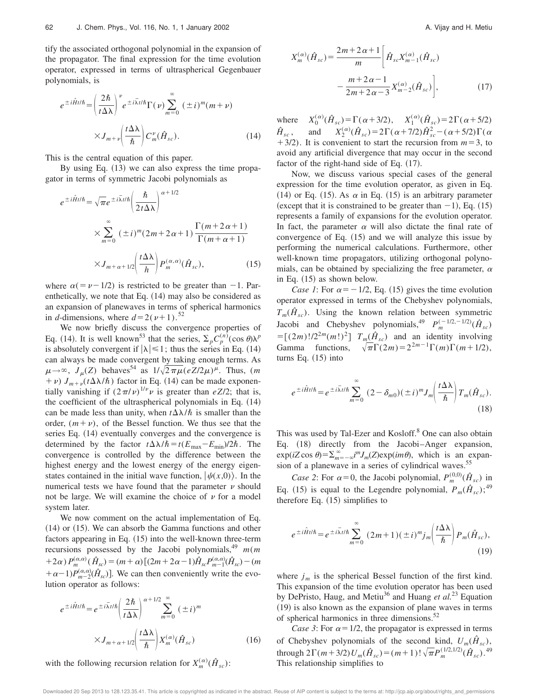tify the associated orthogonal polynomial in the expansion of the propagator. The final expression for the time evolution operator, expressed in terms of ultraspherical Gegenbauer polynomials, is

$$
e^{\pm i\hat{H}t/\hbar} = \left(\frac{2\hbar}{t\Delta\lambda}\right)^{\nu} e^{\pm i\bar{\lambda}t/\hbar} \Gamma(\nu) \sum_{m=0}^{\infty} (\pm i)^{m} (m+\nu)
$$

$$
\times J_{m+\nu} \left(\frac{t\Delta\lambda}{\hbar}\right) C_{m}^{\nu}(\hat{H}_{sc}). \tag{14}
$$

This is the central equation of this paper.

By using Eq.  $(13)$  we can also express the time propagator in terms of symmetric Jacobi polynomials as

$$
e^{\pm i\hat{H}t/\hbar} = \sqrt{\pi}e^{\pm i\bar{\lambda}t/\hbar} \left(\frac{\hbar}{2t\Delta\lambda}\right)^{\alpha+1/2}
$$

$$
\times \sum_{m=0}^{\infty} (\pm i)^m (2m+2\alpha+1) \frac{\Gamma(m+2\alpha+1)}{\Gamma(m+\alpha+1)}
$$

$$
\times J_{m+\alpha+1/2} \left(\frac{t\Delta\lambda}{h}\right) P_m^{(\alpha,\alpha)}(\hat{H}_{sc}), \qquad (15)
$$

where  $\alpha(=\nu-1/2)$  is restricted to be greater than -1. Parenthetically, we note that Eq.  $(14)$  may also be considered as an expansion of planewaves in terms of spherical harmonics in *d*-dimensions, where  $d=2(\nu+1).$ <sup>52</sup>

We now briefly discuss the convergence properties of Eq. (14). It is well known<sup>53</sup> that the series,  $\sum_{p} C_p^{(n)}(\cos \theta) \lambda^p$ is absolutely convergent if  $|\lambda| \leq 1$ ; thus the series in Eq. (14) can always be made convergent by taking enough terms. As  $\mu \rightarrow \infty$ ,  $J_{\mu}(Z)$  behaves<sup>54</sup> as  $1/\sqrt{2\pi\mu} (eZ/2\mu)^{\mu}$ . Thus, (*m*  $(n + \nu) J_{m+\nu}(t\Delta\lambda/\hbar)$  factor in Eq. (14) can be made exponentially vanishing if  $(2\pi/\nu)^{1/\nu}\nu$  is greater than *eZ/2*; that is, the coefficient of the ultraspherical polynomials in Eq.  $(14)$ can be made less than unity, when  $t\Delta\lambda/\hbar$  is smaller than the order,  $(m + v)$ , of the Bessel function. We thus see that the series Eq.  $(14)$  eventually converges and the convergence is determined by the factor  $t\Delta\lambda/\hbar = t(E_{\text{max}}-E_{\text{min}})/2\hbar$ . The convergence is controlled by the difference between the highest energy and the lowest energy of the energy eigenstates contained in the initial wave function,  $|\psi(x,0)\rangle$ . In the numerical tests we have found that the parameter  $\nu$  should not be large. We will examine the choice of  $\nu$  for a model system later.

We now comment on the actual implementation of Eq.  $(14)$  or  $(15)$ . We can absorb the Gamma functions and other factors appearing in Eq.  $(15)$  into the well-known three-term recursions possessed by the Jacobi polynomials,<sup>49</sup> *m*(*m*  $(1+2\alpha) P_m^{(\alpha,\alpha)}(\hat{H}_{sc}) = (m+\alpha) [(2m+2\alpha-1)\hat{H}_{sc} P_{m-1}^{(\alpha,\alpha)}(\hat{H}_{sc}) - (m+\alpha)]$  $+\alpha-1$ ) $P_{m-2}^{(\alpha,\alpha)}(\hat{H}_{sc})$ ]. We can then conveniently write the evolution operator as follows:

$$
e^{\pm i\hat{H}t/\hbar} = e^{\pm i\bar{\lambda}t/\hbar} \left(\frac{2\hbar}{t\Delta\lambda}\right)^{\alpha+1/2} \sum_{m=0}^{\infty} (\pm i)^m
$$

$$
\times J_{m+\alpha+1/2} \left(\frac{t\Delta\lambda}{\hbar}\right) X_m^{(\alpha)}(\hat{H}_{sc}) \tag{16}
$$

with the following recursion relation for  $X_m^{(\alpha)}(\hat{H}_{sc})$ :

$$
X_{m}^{(\alpha)}(\hat{H}_{sc}) = \frac{2m + 2\alpha + 1}{m} \left[ \hat{H}_{sc} X_{m-1}^{(\alpha)}(\hat{H}_{sc}) - \frac{m + 2\alpha - 1}{2m + 2\alpha - 3} X_{m-2}^{(\alpha)}(\hat{H}_{sc}) \right],
$$
(17)

where  $X_0^{(\alpha)}(\hat{H}_{sc}) = \Gamma(\alpha + 3/2), \quad X_1^{(\alpha)}(\hat{H}_{sc}) = 2\Gamma(\alpha + 5/2)$  $\hat{H}_{sc}$ , *sc* , and *X*<sup>2</sup>  $J_2^{(\alpha)}(\hat{H}_{sc}) = 2\Gamma(\alpha + 7/2)\hat{H}_{sc}^2 - (\alpha + 5/2)\Gamma(\alpha)$  $+3/2$ ). It is convenient to start the recursion from  $m=3$ , to avoid any artificial divergence that may occur in the second factor of the right-hand side of Eq.  $(17)$ .

Now, we discuss various special cases of the general expression for the time evolution operator, as given in Eq. (14) or Eq. (15). As  $\alpha$  in Eq. (15) is an arbitrary parameter (except that it is constrained to be greater than  $-1$ ), Eq. (15) represents a family of expansions for the evolution operator. In fact, the parameter  $\alpha$  will also dictate the final rate of convergence of Eq.  $(15)$  and we will analyze this issue by performing the numerical calculations. Furthermore, other well-known time propagators, utilizing orthogonal polynomials, can be obtained by specializing the free parameter,  $\alpha$ in Eq.  $(15)$  as shown below.

*Case 1*: For  $\alpha = -1/2$ , Eq. (15) gives the time evolution operator expressed in terms of the Chebyshev polynomials,  $T_m(\hat{H}_{sc})$ . Using the known relation between symmetric Jacobi and Chebyshev polynomials,<sup>49</sup>  $P_m^{(-1/2,-1/2)}(\hat{H}_{sc})$  $=\left[\frac{(2m)!}{2^{2m}(m!)^2}\right] T_m(\hat{H}_{sc})$  and an identity involving Gamma functions,  $\sqrt{\pi} \Gamma(2m) = 2^{2m-1} \Gamma(m) \Gamma(m+1/2)$ , turns Eq.  $(15)$  into

$$
e^{\pm i\hat{H}t/\hbar} = e^{\pm i\bar{\lambda}t/\hbar} \sum_{m=0}^{\infty} (2 - \delta_{m0})(\pm i)^m J_m \left(\frac{t\Delta\lambda}{\hbar}\right) T_m(\hat{H}_{sc}).
$$
\n(18)

This was used by Tal-Ezer and Kosloff.<sup>8</sup> One can also obtain Eq. (18) directly from the Jacobi–Anger expansion,  $\exp(iZ\cos\theta) = \sum_{m=-\infty}^{\infty} i^m J_m(Z) \exp(im\theta)$ , which is an expansion of a planewave in a series of cylindrical waves.<sup>55</sup>

*Case 2*: For  $\alpha = 0$ , the Jacobi polynomial,  $P_m^{(0,0)}(\hat{H}_{sc})$  in Eq. (15) is equal to the Legendre polynomial,  $P_m(\hat{H}_{sc})$ ;<sup>49</sup> therefore Eq.  $(15)$  simplifies to

$$
e^{\pm i\hat{H}t/\hbar} = e^{\pm i\bar{\lambda}t/\hbar} \sum_{m=0}^{\infty} (2m+1)(\pm i)^m j_m \left(\frac{t\Delta\lambda}{\hbar}\right) P_m(\hat{H}_{sc}),
$$
\n(19)

where  $j_m$  is the spherical Bessel function of the first kind. This expansion of the time evolution operator has been used by DePristo, Haug, and Metiu<sup>36</sup> and Huang *et al.*<sup>23</sup> Equation  $(19)$  is also known as the expansion of plane waves in terms of spherical harmonics in three dimensions.<sup>52</sup>

*Case 3*: For  $\alpha = 1/2$ , the propagator is expressed in terms of Chebyshev polynomials of the second kind,  $U_m(\hat{H}_{sc})$ , through  $2\Gamma(m+3/2)U_m(\hat{H}_{sc}) = (m+1)!\sqrt{\pi}P_m^{(1/2,1/2)}(\hat{H}_{sc})$ .<sup>49</sup> This relationship simplifies to

Downloaded 20 Sep 2013 to 128.123.35.41. This article is copyrighted as indicated in the abstract. Reuse of AIP content is subject to the terms at: http://jcp.aip.org/about/rights\_and\_permissions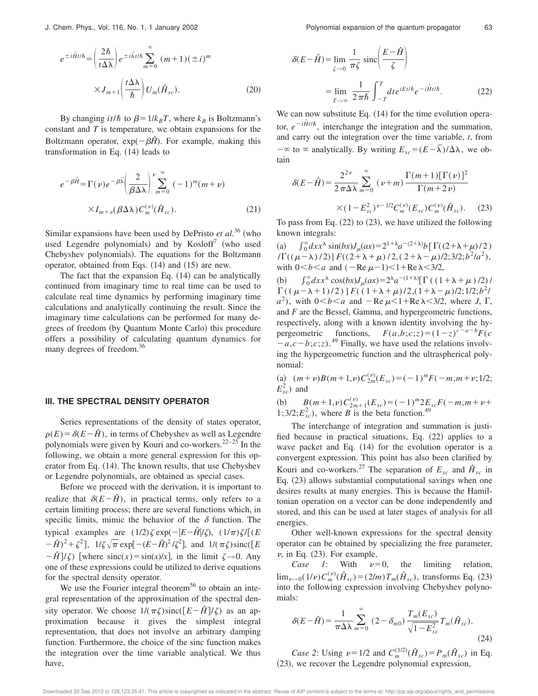$$
e^{\pm i\hat{H}t/\hbar} = \left(\frac{2\hbar}{t\Delta\lambda}\right) e^{\pm i\bar{\lambda}t/\hbar} \sum_{m=0}^{\infty} (m+1)(\pm i)^m
$$

$$
\times J_{m+1} \left(\frac{t\Delta\lambda}{\hbar}\right) U_m(\hat{H}_{sc}). \tag{20}
$$

By changing  $it/\hbar$  to  $\beta = 1/k_B T$ , where  $k_B$  is Boltzmann's constant and *T* is temperature, we obtain expansions for the Boltzmann operator,  $exp(-\beta \hat{H})$ . For example, making this transformation in Eq.  $(14)$  leads to

$$
e^{-\beta \hat{H}} = \Gamma(\nu) e^{-\beta \bar{\lambda}} \left( \frac{2}{\beta \Delta \lambda} \right)^{\nu} \sum_{m=0}^{\infty} (-1)^m (m + \nu)
$$
  
 
$$
\times I_{m+\nu}(\beta \Delta \lambda) C_m^{(\nu)}(\hat{H}_{sc}). \tag{21}
$$

Similar expansions have been used by DePristo *et al.*<sup>36</sup> (who used Legendre polynomials) and by  $Kosloff^7$  (who used Chebyshev polynomials). The equations for the Boltzmann operator, obtained from Eqs.  $(14)$  and  $(15)$  are new.

The fact that the expansion Eq.  $(14)$  can be analytically continued from imaginary time to real time can be used to calculate real time dynamics by performing imaginary time calculations and analytically continuing the result. Since the imaginary time calculations can be performed for many degrees of freedom (by Quantum Monte Carlo) this procedure offers a possibility of calculating quantum dynamics for many degrees of freedom.<sup>36</sup>

#### **III. THE SPECTRAL DENSITY OPERATOR**

Series representations of the density of states operator,  $\rho(E) = \delta(E - \hat{H})$ , in terms of Chebyshev as well as Legendre polynomials were given by Kouri and co-workers.22–25 In the following, we obtain a more general expression for this operator from Eq.  $(14)$ . The known results, that use Chebyshev or Legendre polynomials, are obtained as special cases.

Before we proceed with the derivation, it is important to realize that  $\delta(E-\hat{H})$ , in practical terms, only refers to a certain limiting process; there are several functions which, in specific limits, mimic the behavior of the  $\delta$  function. The typical examples are  $(1/2)\zeta \exp(-|E-\hat{H}|/\zeta)$ ,  $(1/\pi)\zeta/[(E-\hat{H}]/\zeta]$  $(-\hat{H})^2 + \zeta^2$ ],  $1/\zeta \sqrt{\pi} \exp[-(E - \hat{H})^2/\zeta^2]$ , and  $1/(\pi \zeta) \operatorname{sinc}([E - \hat{H})^2/\zeta^2]$  $-\hat{H}$ / $\zeta$ ) [where sinc(*x*)=sin(*x*)/*x*], in the limit  $\zeta \rightarrow 0$ . Any one of these expressions could be utilized to derive equations for the spectral density operator.

We use the Fourier integral theorem<sup>56</sup> to obtain an integral representation of the approximation of the spectral density operator. We choose  $1/(\pi \zeta)$ sinc( $[E-\hat{H}]/\zeta$ ) as an approximation because it gives the simplest integral representation, that does not involve an arbitrary damping function. Furthermore, the choice of the sinc function makes the integration over the time variable analytical. We thus have,

$$
\delta(E - \hat{H}) = \lim_{\zeta \to 0} \frac{1}{\pi \zeta} \operatorname{sinc}\left(\frac{E - \hat{H}}{\zeta}\right)
$$

$$
= \lim_{T \to \infty} \frac{1}{2\pi \hbar} \int_{-T}^{T} dt e^{iEt/\hbar} e^{-i\hat{H}t/\hbar}.
$$
(22)

We can now substitute Eq.  $(14)$  for the time evolution operator,  $e^{-i\hat{H}t/\hbar}$ , interchange the integration and the summation, and carry out the integration over the time variable, *t*, from  $-\infty$  to  $\infty$  analytically. By writing  $E_{sc}=(E-\overline{\lambda})/\Delta\lambda$ , we obtain

$$
\delta(E-\hat{H}) = \frac{2^{2\nu}}{2\pi\Delta\lambda} \sum_{m=0}^{\infty} (\nu+m) \frac{\Gamma(m+1)[\Gamma(\nu)]^2}{\Gamma(m+2\nu)}
$$

$$
\times (1 - E_{sc}^2)^{\nu-1/2} C_m^{(\nu)}(E_{sc}) C_m^{(\nu)}(\hat{H}_{sc}). \quad (23)
$$

To pass from Eq.  $(22)$  to  $(23)$ , we have utilized the following known integrals:

(a)  $\int_0^{\infty} dx x^{\lambda} \sin(bx) J_{\mu}(ax) = 2^{1+\lambda} a^{-(2+\lambda)} b \left[ \Gamma((2+\lambda+\mu)/2) \right]$  $\int \Gamma((\mu-\lambda)/2) \Gamma((2+\lambda+\mu)/2, (2+\lambda-\mu)/2;3/2; b^2/a^2),$ with  $0 < b < a$  and  $(-Re \mu - 1) < 1 + Re \lambda < 3/2$ ,

(b)  $\int_0^{\infty} dx x^{\lambda} \cos(bx) J_{\mu}(ax) = 2^{\lambda} a^{-(1+\lambda)} [\Gamma((1+\lambda+\mu)/2)]$  $\Gamma((\mu-\lambda+1)/2)\,] F((1+\lambda+\mu)/2,(1+\lambda-\mu)/2;1/2;b^2/2)$  $a^2$ ), with  $0 < b < a$  and  $-$ Re  $\mu < 1 +$ Re  $\lambda < 3/2$ , where *J*,  $\Gamma$ , and *F* are the Bessel, Gamma, and hypergeometric functions, respectively, along with a known identity involving the hypergeometric functions,  $F(a,b;c;z)=(1-z)^{c-a-b}F(c)$  $(a^2 - a, c - b; c; z)$ .<sup>49</sup> Finally, we have used the relations involving the hypergeometric function and the ultraspherical polynomial:

 $(a)$   $(m+v)B(m+1,v)C_{2m}^{(v)}(E_{sc}) = (-1)^m F(-m, m+v;1/2;$  $E_{sc}^2$ ) and

(b)  $B(m+1,\nu)C_{2m+1}^{(\nu)}(E_{sc}) = (-1)^m 2E_{sc}F(-m,m+\nu+\nu)$  $1;3/2;E_{sc}^2$ ), where *B* is the beta function.<sup>49</sup>

The interchange of integration and summation is justified because in practical situations, Eq.  $(22)$  applies to a wave packet and Eq.  $(14)$  for the evolution operator is a convergent expression. This point has also been clarified by Kouri and co-workers.<sup>27</sup> The separation of  $E_{sc}$  and  $\hat{H}_{sc}$  in Eq.  $(23)$  allows substantial computational savings when one desires results at many energies. This is because the Hamiltonian operation on a vector can be done independently and stored, and this can be used at later stages of analysis for all energies.

Other well-known expressions for the spectral density operator can be obtained by specializing the free parameter,  $\nu$ , in Eq. (23). For example,

*Case 1*: With  $\nu=0$ , the limiting relation,  $\lim_{\nu \to 0} (1/\nu) C_m^{(\nu)}(\hat{H}_{sc}) = (2/m) T_m(\hat{H}_{sc})$ , transforms Eq. (23) into the following expression involving Chebyshev polynomials:

$$
\delta(E-\hat{H}) = \frac{1}{\pi\Delta\lambda} \sum_{m=0}^{\infty} (2-\delta_{m0}) \frac{T_m(E_{sc})}{\sqrt{1-E_{sc}^2}} T_m(\hat{H}_{sc}).
$$
\n(24)

*Case 2*: Using  $\nu = 1/2$  and  $C_m^{(1/2)}(\hat{H}_{sc}) = P_m(\hat{H}_{sc})$  in Eq.  $(23)$ , we recover the Legendre polynomial expression,

Downloaded 20 Sep 2013 to 128.123.35.41. This article is copyrighted as indicated in the abstract. Reuse of AIP content is subject to the terms at: http://jcp.aip.org/about/rights\_and\_permissions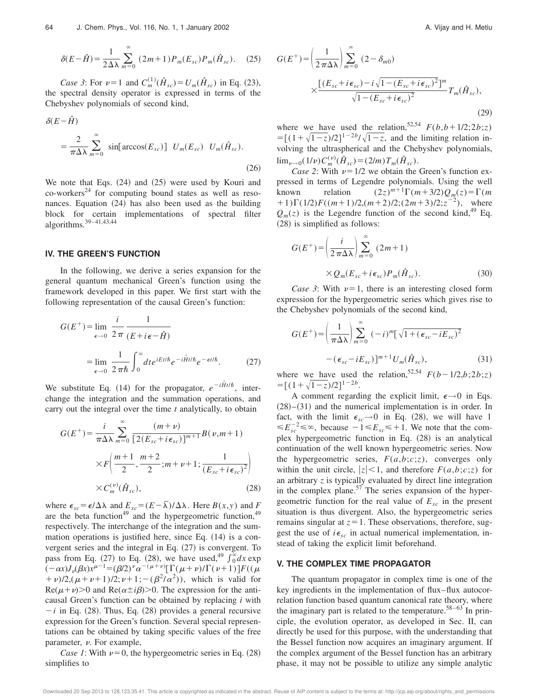$$
\delta(E-\hat{H}) = \frac{1}{2\Delta\lambda} \sum_{m=0}^{\infty} (2m+1) P_m(E_{sc}) P_m(\hat{H}_{sc}). \quad (25)
$$

*Case 3*: For  $\nu=1$  and  $C_m^{(1)}(\hat{H}_{sc})=U_m(\hat{H}_{sc})$  in Eq. (23), the spectral density operator is expressed in terms of the Chebyshev polynomials of second kind,

$$
\delta(E - \hat{H})
$$
  
=  $\frac{2}{\pi \Delta \lambda} \sum_{m=0}^{\infty} \sin[\arccos(E_{sc})] U_m(E_{sc}) U_m(\hat{H}_{sc}).$  (26)

We note that Eqs.  $(24)$  and  $(25)$  were used by Kouri and  $co$ -workers<sup>24</sup> for computing bound states as well as resonances. Equation  $(24)$  has also been used as the building block for certain implementations of spectral filter algorithms.39–41,43,44

# **IV. THE GREEN'S FUNCTION**

In the following, we derive a series expansion for the general quantum mechanical Green's function using the framework developed in this paper. We first start with the following representation of the causal Green's function:

$$
G(E^{+}) = \lim_{\epsilon \to 0} \frac{i}{2\pi} \frac{1}{(E + i\epsilon - \hat{H})}
$$

$$
= \lim_{\epsilon \to 0} \frac{1}{2\pi\hbar} \int_{0}^{\infty} dt e^{iEt/\hbar} e^{-i\hat{H}t/\hbar} e^{-\epsilon t/\hbar}. \tag{27}
$$

We substitute Eq. (14) for the propagator,  $e^{-i\hat{H}t/\hbar}$ , interchange the integration and the summation operations, and carry out the integral over the time *t* analytically, to obtain

$$
G(E^{+}) = \frac{i}{\pi \Delta \lambda} \sum_{m=0}^{\infty} \frac{(m+\nu)}{[2(E_{sc} + i\epsilon_{sc})]^{m+1}} B(\nu, m+1)
$$

$$
\times F\left(\frac{m+1}{2}, \frac{m+2}{2}; m+\nu+1; \frac{1}{(E_{sc} + i\epsilon_{sc})^{2}}\right)
$$

$$
\times C_{m}^{(\nu)}(\hat{H}_{sc}),
$$
(28)

where  $\epsilon_{sc} = \epsilon/\Delta\lambda$  and  $E_{sc} = (E - \overline{\lambda})/\Delta\lambda$ . Here  $B(x, y)$  and *F* are the beta function<sup>49</sup> and the hypergeometric function,<sup>49</sup> respectively. The interchange of the integration and the summation operations is justified here, since Eq.  $(14)$  is a convergent series and the integral in Eq.  $(27)$  is convergent. To pass from Eq. (27) to Eq. (28), we have used,<sup>49</sup>  $\int_0^{\infty} dx$  exp  $(-\alpha x)J_{\nu}(\beta x)x^{\mu-1} = (\beta/2)^{\nu}\alpha^{-(\mu+\nu)}[\Gamma(\mu+\nu)/\Gamma(\nu+1)]F((\mu+\nu))$ + v)/2,( $\mu + \nu + 1$ )/2;  $\nu + 1$ ; -( $\beta^2/\alpha^2$ )), which is valid for  $\text{Re}(\mu+\nu)$ >0 and  $\text{Re}(\alpha\pm i\beta)$ >0. The expression for the anticausal Green's function can be obtained by replacing *i* with  $-i$  in Eq. (28). Thus, Eq. (28) provides a general recursive expression for the Green's function. Several special representations can be obtained by taking specific values of the free parameter,  $\nu$ . For example,

*Case 1*: With  $\nu=0$ , the hypergeometric series in Eq. (28) simplifies to

$$
G(E^{+}) = \left(\frac{1}{2\pi\Delta\lambda}\right) \sum_{m=0}^{\infty} (2 - \delta_{m0})
$$

$$
\times \frac{\left[(E_{sc} + i\epsilon_{sc}) - i\sqrt{1 - (E_{sc} + i\epsilon_{sc})^2}\right]^{m}}{\sqrt{1 - (E_{sc} + i\epsilon_{sc})^2}} T_m(\hat{H}_{sc}), \tag{29}
$$

where we have used the relation,<sup>52,54</sup>  $F(b, b+1/2; 2b; z)$  $=$ [(1+ $\sqrt{1-z}$ )/2]<sup>1-2*b*</sup>/ $\sqrt{1-z}$ , and the limiting relation involving the ultraspherical and the Chebyshev polynomials,  $\lim_{\nu \to 0} (1/\nu) C_m^{(\nu)}(\hat{H}_{sc}) = (2/m) T_m(\hat{H}_{sc}).$ 

*Case 2*: With  $\nu=1/2$  we obtain the Green's function expressed in terms of Legendre polynomials. Using the well known relation  $(2z)^{m+1}\Gamma(m+3/2)Q_m(z) = \Gamma(m)$ +1) $\Gamma(1/2)F((m+1)/2,(m+2)/2;(2m+3)/2;z^{-2})$ , where  $Q_m(z)$  is the Legendre function of the second kind,<sup>49</sup> Eq.  $(28)$  is simplified as follows:

$$
G(E^{+}) = \left(\frac{i}{2\pi\Delta\lambda}\right) \sum_{m=0}^{\infty} (2m+1)
$$
  
 
$$
\times Q_{m}(E_{sc} + i\epsilon_{sc}) P_{m}(\hat{H}_{sc}).
$$
 (30)

*Case 3*: With  $\nu=1$ , there is an interesting closed form expression for the hypergeometric series which gives rise to the Chebyshev polynomials of the second kind,

$$
G(E^{+}) = \left(\frac{1}{\pi \Delta \lambda}\right) \sum_{m=0}^{\infty} (-i)^{m} \left[\sqrt{1 + (\epsilon_{sc} - iE_{sc})^{2}} - (\epsilon_{sc} - iE_{sc})\right]^{m+1} U_{m}(\hat{H}_{sc}),
$$
\n(31)

where we have used the relation,<sup>52,54</sup>  $F(b-1/2,b;2b;z)$  $= [(1+\sqrt{1-z})/2]^{1-2b}.$ 

A comment regarding the explicit limit,  $\epsilon \rightarrow 0$  in Eqs.  $(28)–(31)$  and the numerical implementation is in order. In fact, with the limit  $\epsilon_{sc} \rightarrow 0$  in Eq. (28), we will have 1  $\leq E_{sc}^{-2} \leq \infty$ , because  $-1 \leq E_{sc} \leq +1$ . We note that the complex hypergeometric function in Eq.  $(28)$  is an analytical continuation of the well known hypergeometric series. Now the hypergeometric series,  $F(a,b;c;z)$ , converges only within the unit circle,  $|z| < 1$ , and therefore  $F(a,b;c;z)$  for an arbitrary *z* is typically evaluated by direct line integration in the complex plane. $57$  The series expansion of the hypergeometric function for the real value of  $E_{sc}$  in the present situation is thus divergent. Also, the hypergeometric series remains singular at  $z=1$ . These observations, therefore, suggest the use of  $i\epsilon_{sc}$  in actual numerical implementation, instead of taking the explicit limit beforehand.

### **V. THE COMPLEX TIME PROPAGATOR**

The quantum propagator in complex time is one of the key ingredients in the implementation of flux–flux autocorrelation function based quantum canonical rate theory, where the imaginary part is related to the temperature.<sup>58–63</sup> In principle, the evolution operator, as developed in Sec. II, can directly be used for this purpose, with the understanding that the Bessel function now acquires an imaginary argument. If the complex argument of the Bessel function has an arbitrary phase, it may not be possible to utilize any simple analytic

Downloaded 20 Sep 2013 to 128.123.35.41. This article is copyrighted as indicated in the abstract. Reuse of AIP content is subject to the terms at: http://jcp.aip.org/about/rights\_and\_permissions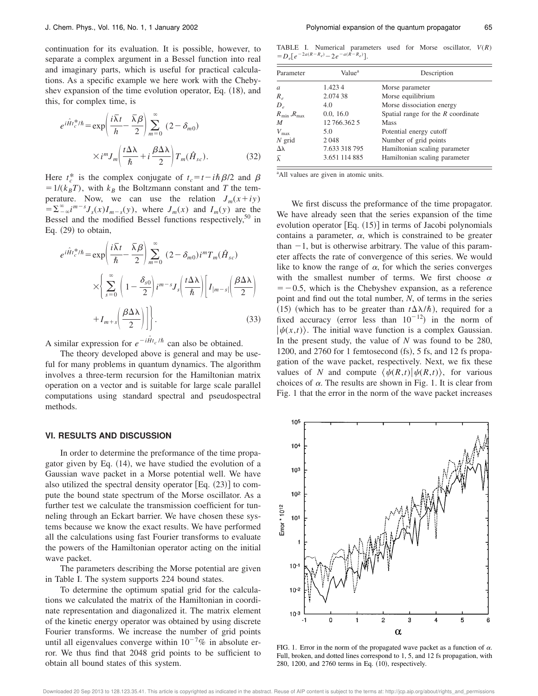continuation for its evaluation. It is possible, however, to separate a complex argument in a Bessel function into real and imaginary parts, which is useful for practical calculations. As a specific example we here work with the Chebyshev expansion of the time evolution operator, Eq.  $(18)$ , and this, for complex time, is

$$
e^{i\hat{H}t_c^*/\hbar} = \exp\left(\frac{i\bar{\lambda}t}{h} - \frac{\bar{\lambda}\beta}{2}\right) \sum_{m=0}^{\infty} (2 - \delta_{m0})
$$

$$
\times i^m J_m \left(\frac{t\Delta\lambda}{\hbar} + i\frac{\beta\Delta\lambda}{2}\right) T_m(\hat{H}_{sc}).
$$
(32)

Here  $t_c^*$  is the complex conjugate of  $t_c = t - i\hbar \beta/2$  and  $\beta$  $=1/(k_BT)$ , with  $k_B$  the Boltzmann constant and *T* the temperature. Now, we can use the relation  $J_m(x+iy)$  $\int_0^{\infty} = \sum_{n=-\infty}^{\infty} i^{m-s} J_s(x) I_{m-s}(y)$ , where  $J_m(x)$  and  $I_m(y)$  are the Bessel and the modified Bessel functions respectively, $50$  in Eq.  $(29)$  to obtain,

$$
e^{i\hat{H}t_c^*/\hbar} = \exp\left(\frac{i\bar{\lambda}t}{\hbar} - \frac{\bar{\lambda}\beta}{2}\right) \sum_{m=0}^{\infty} (2 - \delta_{m0}) i^m T_m(\hat{H}_{sc})
$$

$$
\times \left\{ \sum_{s=0}^{\infty} \left(1 - \frac{\delta_{s0}}{2}\right) i^{m-s} J_s\left(\frac{t\Delta\lambda}{\hbar}\right) \left[I_{|m-s|}\left(\frac{\beta\Delta\lambda}{2}\right) + I_{m+s}\left(\frac{\beta\Delta\lambda}{2}\right)\right] \right\}.
$$
(33)

A similar expression for  $e^{-i\hat{H}t_c/\hbar}$  can also be obtained.

The theory developed above is general and may be useful for many problems in quantum dynamics. The algorithm involves a three-term recursion for the Hamiltonian matrix operation on a vector and is suitable for large scale parallel computations using standard spectral and pseudospectral methods.

#### **VI. RESULTS AND DISCUSSION**

In order to determine the preformance of the time propagator given by Eq.  $(14)$ , we have studied the evolution of a Gaussian wave packet in a Morse potential well. We have also utilized the spectral density operator [Eq.  $(23)$ ] to compute the bound state spectrum of the Morse oscillator. As a further test we calculate the transmission coefficient for tunneling through an Eckart barrier. We have chosen these systems because we know the exact results. We have performed all the calculations using fast Fourier transforms to evaluate the powers of the Hamiltonian operator acting on the initial wave packet.

The parameters describing the Morse potential are given in Table I. The system supports 224 bound states.

To determine the optimum spatial grid for the calculations we calculated the matrix of the Hamiltonian in coordinate representation and diagonalized it. The matrix element of the kinetic energy operator was obtained by using discrete Fourier transforms. We increase the number of grid points until all eigenvalues converge within  $10^{-7}\%$  in absolute error. We thus find that 2048 grid points to be sufficient to obtain all bound states of this system.

TABLE I. Numerical parameters used for Morse oscillator, *V*(*R*)  $=D_e[e^{-2a(R-R_e)} - 2e^{-a(R-R_e)}].$ 

| Parameter               | Value <sup>a</sup> | Description                          |  |  |
|-------------------------|--------------------|--------------------------------------|--|--|
| a                       | 1.4234             | Morse parameter                      |  |  |
| $R_{\rho}$              | 2.074 38           | Morse equilibrium                    |  |  |
| $D_{e}$                 | 4.0                | Morse dissociation energy            |  |  |
| $R_{\min}$ , $R_{\max}$ | 0.0, 16.0          | Spatial range for the $R$ coordinate |  |  |
| M                       | 12 766.362 5       | Mass                                 |  |  |
| $V_{\text{max}}$        | 5.0                | Potential energy cutoff              |  |  |
| $N$ grid                | 2048               | Number of grid points                |  |  |
| Δλ                      | 7.633 318 795      | Hamiltonian scaling parameter        |  |  |
| $\bar{\lambda}$         | 3.651 114 885      | Hamiltonian scaling parameter        |  |  |

<sup>a</sup>All values are given in atomic units.

We first discuss the preformance of the time propagator. We have already seen that the series expansion of the time evolution operator  $[Eq. (15)]$  in terms of Jacobi polynomials contains a parameter,  $\alpha$ , which is constrained to be greater than  $-1$ , but is otherwise arbitrary. The value of this parameter affects the rate of convergence of this series. We would like to know the range of  $\alpha$ , for which the series converges with the smallest number of terms. We first choose  $\alpha$  $=$  -0.5, which is the Chebyshev expansion, as a reference point and find out the total number, *N*, of terms in the series (15) (which has to be greater than  $t\Delta\lambda/\hbar$ ), required for a fixed accuracy (error less than  $10^{-12}$ ) in the norm of  $|\psi(x,t)\rangle$ . The initial wave function is a complex Gaussian. In the present study, the value of *N* was found to be 280, 1200, and  $2760$  for 1 femtosecond  $({\rm fs})$ , 5 fs, and 12 fs propagation of the wave packet, respectively. Next, we fix these values of *N* and compute  $\langle \psi(R,t)|\psi(R,t)\rangle$ , for various choices of  $\alpha$ . The results are shown in Fig. 1. It is clear from Fig. 1 that the error in the norm of the wave packet increases



FIG. 1. Error in the norm of the propagated wave packet as a function of  $\alpha$ . Full, broken, and dotted lines correspond to 1, 5, and 12 fs propagation, with 280, 1200, and 2760 terms in Eq. (10), respectively.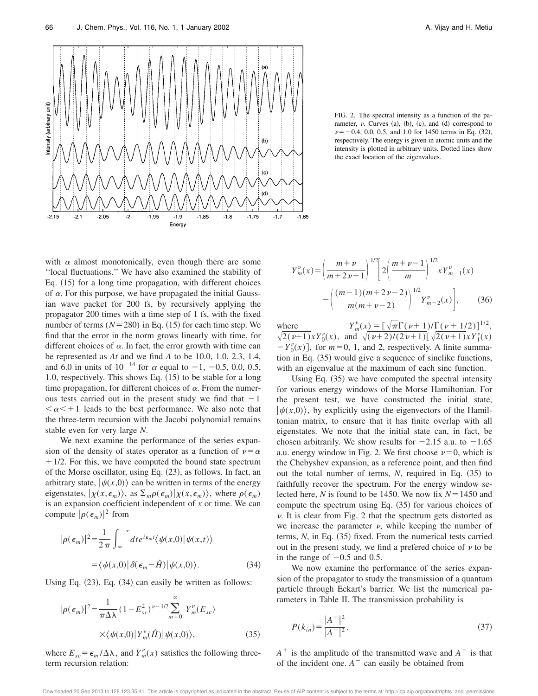

FIG. 2. The spectral intensity as a function of the parameter,  $\nu$ . Curves  $(a)$ ,  $(b)$ ,  $(c)$ , and  $(d)$  correspond to  $\nu=-0.4, 0.0, 0.5,$  and 1.0 for 1450 terms in Eq. (32), respectively. The energy is given in atomic units and the intensity is plotted in arbitrary units. Dotted lines show the exact location of the eigenvalues.

with  $\alpha$  almost monotonically, even though there are some ''local fluctuations.'' We have also examined the stability of Eq.  $(15)$  for a long time propagation, with different choices of  $\alpha$ . For this purpose, we have propagated the initial Gaussian wave packet for 200 fs, by recursively applying the propagator 200 times with a time step of 1 fs, with the fixed number of terms  $(N=280)$  in Eq.  $(15)$  for each time step. We find that the error in the norm grows linearly with time, for different choices of  $\alpha$ . In fact, the error growth with time can be represented as *At* and we find *A* to be 10.0, 1.0, 2.3, 1.4, and 6.0 in units of  $10^{-14}$  for  $\alpha$  equal to -1, -0.5, 0.0, 0.5, 1.0, respectively. This shows Eq.  $(15)$  to be stable for a long time propagation, for different choices of  $\alpha$ . From the numerous tests carried out in the present study we find that  $-1$  $\alpha$  < + 1 leads to the best performance. We also note that the three-term recursion with the Jacobi polynomial remains stable even for very large *N*.

We next examine the performance of the series expansion of the density of states operator as a function of  $\nu = \alpha$  $+1/2$ . For this, we have computed the bound state spectrum of the Morse oscillator, using Eq.  $(23)$ , as follows. In fact, an arbitrary state,  $|\psi(x,0)\rangle$  can be written in terms of the energy eigenstates,  $|\chi(x, \epsilon_m)\rangle$ , as  $\Sigma_m \rho(\epsilon_m) |\chi(x, \epsilon_m)\rangle$ , where  $\rho(\epsilon_m)$ is an expansion coefficient independent of *x* or time. We can compute  $|\rho(\epsilon_m)|^2$  from

$$
|\rho(\epsilon_m)|^2 = \frac{1}{2\pi} \int_{-\infty}^{\infty} dt e^{i\epsilon_m t} \langle \psi(x,0) | \psi(x,t) \rangle
$$
  
=  $\langle \psi(x,0) | \delta(\epsilon_m - \hat{H}) | \psi(x,0) \rangle.$  (34)

Using Eq.  $(23)$ , Eq.  $(34)$  can easily be written as follows:

$$
|\rho(\epsilon_m)|^2 = \frac{1}{\pi \Delta \lambda} (1 - E_{sc}^2)^{\nu - 1/2} \sum_{m=0}^{\infty} Y_m^{\nu}(E_{sc})
$$
  
 
$$
\times \langle \psi(x,0) | Y_m^{\nu}(\hat{H}) | \psi(x,0) \rangle, \qquad (35)
$$

where  $E_{sc} = \epsilon_m / \Delta \lambda$ , and  $Y_m^{\nu}(x)$  satisfies the following threeterm recursion relation:

$$
Y_{m}^{\nu}(x) = \left(\frac{m+\nu}{m+2\nu-1}\right)^{1/2} \left[2\left(\frac{m+\nu-1}{m}\right)^{1/2} x Y_{m-1}^{\nu}(x)\right]
$$

$$
-\left(\frac{(m-1)(m+2\nu-2)}{m(m+\nu-2)}\right)^{1/2} Y_{m-2}^{\nu}(x)\right], \qquad (36)
$$

where  $Y_m^{\nu}(x) = [\sqrt{\pi} \Gamma(\nu+1)/\Gamma(\nu+1/2)]^{1/2},$  $\sqrt{2(\nu+1)}xY_0^{\nu}(x)$ , and  $\sqrt{(\nu+2)/(2\nu+1)}[\sqrt{2(\nu+1)}xY_1^{\nu}(x)]$  $-Y_0^{\nu}(x)$ , for  $m=0, 1$ , and 2, respectively. A finite summation in Eq.  $(35)$  would give a sequence of sinclike functions, with an eigenvalue at the maximum of each sinc function.

Using Eq.  $(35)$  we have computed the spectral intensity for various energy windows of the Morse Hamiltonian. For the present test, we have constructed the initial state,  $|\psi(x,0)\rangle$ , by explicitly using the eigenvectors of the Hamiltonian matrix, to ensure that it has finite overlap with all eigenstates. We note that the initial state can, in fact, be chosen arbitrarily. We show results for  $-2.15$  a.u. to  $-1.65$ a.u. energy window in Fig. 2. We first choose  $\nu=0$ , which is the Chebyshev expansion, as a reference point, and then find out the total number of terms,  $N$ , required in Eq.  $(35)$  to faithfully recover the spectrum. For the energy window selected here, *N* is found to be 1450. We now fix  $N = 1450$  and compute the spectrum using Eq.  $(35)$  for various choices of  $\nu$ . It is clear from Fig. 2 that the spectrum gets distorted as we increase the parameter  $\nu$ , while keeping the number of terms,  $N$ , in Eq.  $(35)$  fixed. From the numerical tests carried out in the present study, we find a prefered choice of  $\nu$  to be in the range of  $-0.5$  and 0.5.

We now examine the performance of the series expansion of the propagator to study the transmission of a quantum particle through Eckart's barrier. We list the numerical parameters in Table II. The transmission probability is

$$
P(k_{in}) = \frac{|A^+|^2}{|A^-|^2}.
$$
\n(37)

 $A^+$  is the amplitude of the transmitted wave and  $A^-$  is that of the incident one.  $A^-$  can easily be obtained from

Downloaded 20 Sep 2013 to 128.123.35.41. This article is copyrighted as indicated in the abstract. Reuse of AIP content is subject to the terms at: http://jcp.aip.org/about/rights\_and\_permissions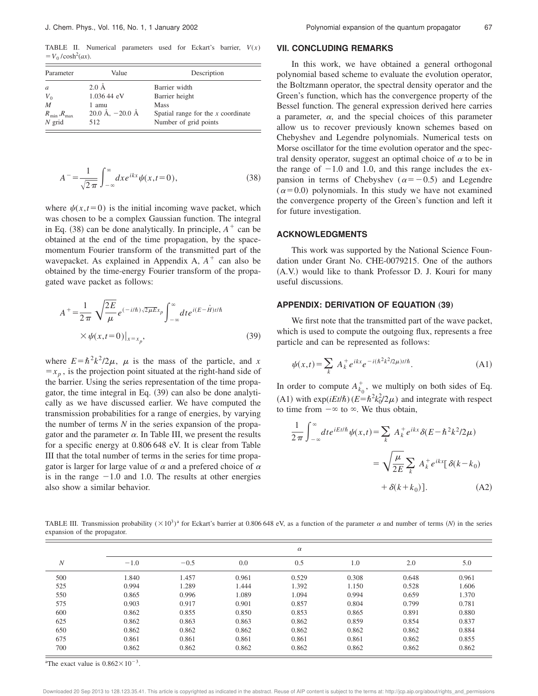TABLE II. Numerical parameters used for Eckart's barrier, *V*(*x*)  $= V_0 / \cosh^2(ax)$ .

| Value                             | Description                                                   |  |  |  |
|-----------------------------------|---------------------------------------------------------------|--|--|--|
| $2.0\text{ Å}$                    | Barrier width                                                 |  |  |  |
| 1.036 44 eV                       | Barrier height                                                |  |  |  |
| 1 amu                             | <b>Mass</b>                                                   |  |  |  |
| $20.0 \text{ Å}, -20.0 \text{ Å}$ | Spatial range for the $x$ coordinate<br>Number of grid points |  |  |  |
|                                   | 512                                                           |  |  |  |

$$
A^{-} = \frac{1}{\sqrt{2\pi}} \int_{-\infty}^{\infty} dx e^{ikx} \psi(x, t=0), \qquad (38)
$$

where  $\psi(x,t=0)$  is the initial incoming wave packet, which was chosen to be a complex Gaussian function. The integral in Eq. (38) can be done analytically. In principle,  $A^+$  can be obtained at the end of the time propagation, by the spacemomentum Fourier transform of the transmitted part of the wavepacket. As explained in Appendix A,  $A^+$  can also be obtained by the time-energy Fourier transform of the propagated wave packet as follows:

$$
A^{+} = \frac{1}{2\pi} \sqrt{\frac{2E}{\mu}} e^{(-i/\hbar)\sqrt{2\mu E}x_{p}} \int_{-\infty}^{\infty} dt e^{i(E-\hat{H})t/\hbar}
$$
  
 
$$
\times \psi(x,t=0)|_{x=x_{p}},
$$
 (39)

where  $E = \hbar^2 k^2 / 2\mu$ ,  $\mu$  is the mass of the particle, and *x*  $=x_p$ , is the projection point situated at the right-hand side of the barrier. Using the series representation of the time propagator, the time integral in Eq.  $(39)$  can also be done analytically as we have discussed earlier. We have computed the transmission probabilities for a range of energies, by varying the number of terms *N* in the series expansion of the propagator and the parameter  $\alpha$ . In Table III, we present the results for a specific energy at 0.806 648 eV. It is clear from Table III that the total number of terms in the series for time propagator is larger for large value of  $\alpha$  and a prefered choice of  $\alpha$ is in the range  $-1.0$  and 1.0. The results at other energies also show a similar behavior.

### **VII. CONCLUDING REMARKS**

In this work, we have obtained a general orthogonal polynomial based scheme to evaluate the evolution operator, the Boltzmann operator, the spectral density operator and the Green's function, which has the convergence property of the Bessel function. The general expression derived here carries a parameter,  $\alpha$ , and the special choices of this parameter allow us to recover previously known schemes based on Chebyshev and Legendre polynomials. Numerical tests on Morse oscillator for the time evolution operator and the spectral density operator, suggest an optimal choice of  $\alpha$  to be in the range of  $-1.0$  and 1.0, and this range includes the expansion in terms of Chebyshev ( $\alpha = -0.5$ ) and Legendre  $(\alpha=0.0)$  polynomials. In this study we have not examined the convergence property of the Green's function and left it for future investigation.

#### **ACKNOWLEDGMENTS**

This work was supported by the National Science Foundation under Grant No. CHE-0079215. One of the authors (A.V.) would like to thank Professor D. J. Kouri for many useful discussions.

# **APPENDIX: DERIVATION OF EQUATION (39)**

We first note that the transmitted part of the wave packet, which is used to compute the outgoing flux, represents a free particle and can be represented as follows:

$$
\psi(x,t) = \sum_{k} A_{k}^{+} e^{ikx} e^{-i(\hbar^{2}k^{2}/2\mu)t/\hbar}.
$$
 (A1)

In order to compute  $A_{k_0}^+$  $\frac{1}{k_0}$ , we multiply on both sides of Eq. (A1) with  $\exp(iEt/\hbar)$  ( $E = \hbar^2 k_0^2/2\mu$ ) and integrate with respect to time from  $-\infty$  to  $\infty$ . We thus obtain,

$$
\frac{1}{2\pi} \int_{-\infty}^{\infty} dt e^{iEt/\hbar} \psi(x,t) = \sum_{k} A_{k}^{+} e^{ikx} \delta(E - \hbar^{2} k^{2}/2\mu)
$$

$$
= \sqrt{\frac{\mu}{2E}} \sum_{k} A_{k}^{+} e^{ikx} [\delta(k - k_{0}) + \delta(k + k_{0})]. \tag{A2}
$$

TABLE III. Transmission probability  $(\times 10^3)^a$  for Eckart's barrier at 0.806 648 eV, as a function of the parameter  $\alpha$  and number of terms (*N*) in the series expansion of the propagator.

|     |        | $\alpha$         |       |       |       |       |       |  |  |
|-----|--------|------------------|-------|-------|-------|-------|-------|--|--|
| N   | $-1.0$ | $-0.5$           | 0.0   | 0.5   | 1.0   | 2.0   | 5.0   |  |  |
| 500 | 1.840  | L <sub>457</sub> | 0.961 | 0.529 | 0.308 | 0.648 | 0.961 |  |  |
| 525 | 0.994  | 1.289            | 1.444 | 1.392 | 1.150 | 0.528 | 1.606 |  |  |
| 550 | 0.865  | 0.996            | 1.089 | 1.094 | 0.994 | 0.659 | 1.370 |  |  |
| 575 | 0.903  | 0.917            | 0.901 | 0.857 | 0.804 | 0.799 | 0.781 |  |  |
| 600 | 0.862  | 0.855            | 0.850 | 0.853 | 0.865 | 0.891 | 0.880 |  |  |
| 625 | 0.862  | 0.863            | 0.863 | 0.862 | 0.859 | 0.854 | 0.837 |  |  |
| 650 | 0.862  | 0.862            | 0.862 | 0.862 | 0.862 | 0.862 | 0.884 |  |  |
| 675 | 0.861  | 0.861            | 0.861 | 0.861 | 0.861 | 0.862 | 0.855 |  |  |
| 700 | 0.862  | 0.862            | 0.862 | 0.862 | 0.862 | 0.862 | 0.862 |  |  |

<sup>a</sup>The exact value is  $0.862 \times 10^{-3}$ .

Downloaded 20 Sep 2013 to 128.123.35.41. This article is copyrighted as indicated in the abstract. Reuse of AIP content is subject to the terms at: http://jcp.aip.org/about/rights\_and\_permissions